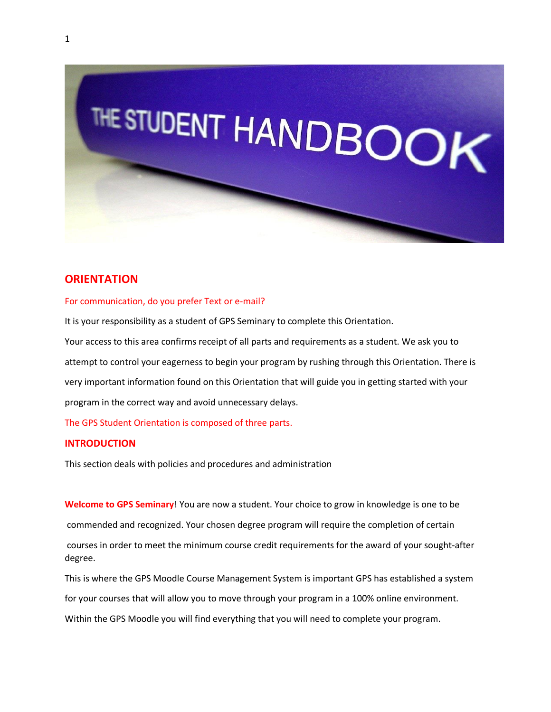

# **ORIENTATION**

#### For communication, do you prefer Text or e-mail?

It is your responsibility as a student of GPS Seminary to complete this Orientation.

Your access to this area confirms receipt of all parts and requirements as a student. We ask you to attempt to control your eagerness to begin your program by rushing through this Orientation. There is very important information found on this Orientation that will guide you in getting started with your program in the correct way and avoid unnecessary delays.

The GPS Student Orientation is composed of three parts.

#### **INTRODUCTION**

This section deals with policies and procedures and administration

**Welcome to GPS Seminary**! You are now a student. Your choice to grow in knowledge is one to be commended and recognized. Your chosen degree program will require the completion of certain courses in order to meet the minimum course credit requirements for the award of your sought-after degree.

This is where the GPS Moodle Course Management System is important GPS has established a system for your courses that will allow you to move through your program in a 100% online environment. Within the GPS Moodle you will find everything that you will need to complete your program.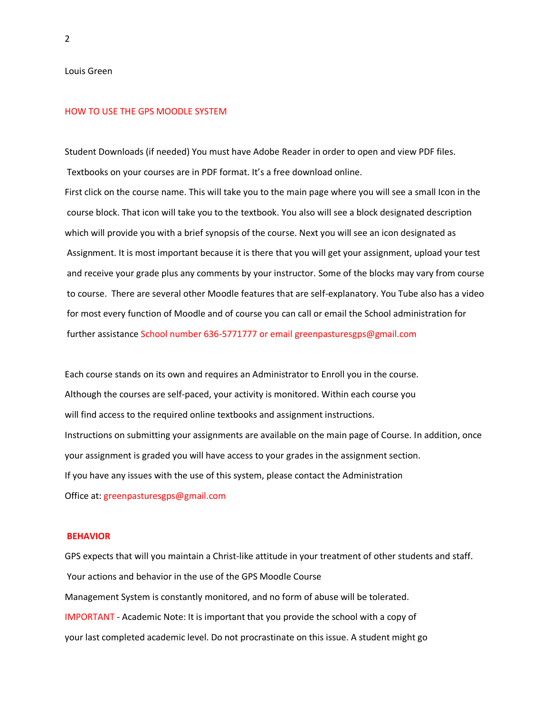Louis Green

#### HOW TO USE THE GPS MOODLE SYSTEM

Student Downloads (if needed) You must have Adobe Reader in order to open and view PDF files. Textbooks on your courses are in PDF format. It's a free download online.

First click on the course name. This will take you to the main page where you will see a small Icon in the course block. That icon will take you to the textbook. You also will see a block designated description which will provide you with a brief synopsis of the course. Next you will see an icon designated as Assignment. It is most important because it is there that you will get your assignment, upload your test and receive your grade plus any comments by your instructor. Some of the blocks may vary from course to course. There are several other Moodle features that are self-explanatory. You Tube also has a video for most every function of Moodle and of course you can call or email the School administration for further assistance School number 636-5771777 or email greenpasturesgps@gmail.com

Each course stands on its own and requires an Administrator to Enroll you in the course. Although the courses are self-paced, your activity is monitored. Within each course you will find access to the required online textbooks and assignment instructions. Instructions on submitting your assignments are available on the main page of Course. In addition, once your assignment is graded you will have access to your grades in the assignment section. If you have any issues with the use of this system, please contact the Administration Office at: greenpasturesgps@gmail.com

#### **BEHAVIOR**

GPS expects that will you maintain a Christ-like attitude in your treatment of other students and staff. Your actions and behavior in the use of the GPS Moodle Course Management System is constantly monitored, and no form of abuse will be tolerated. IMPORTANT - Academic Note: It is important that you provide the school with a copy of your last completed academic level. Do not procrastinate on this issue. A student might go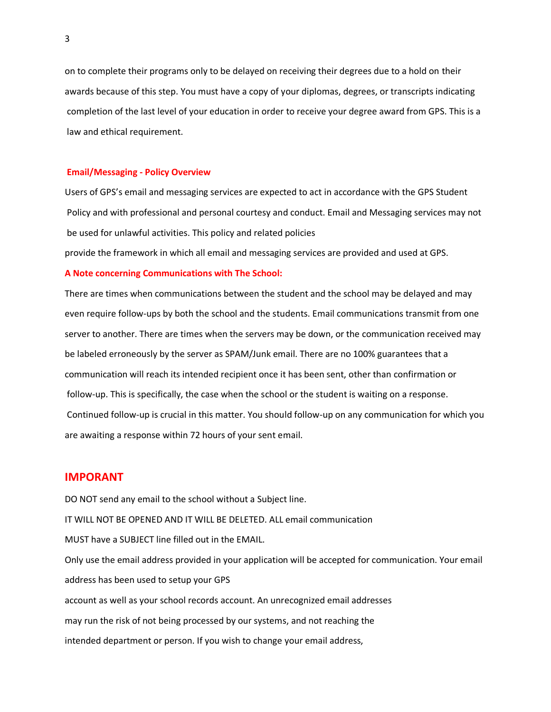on to complete their programs only to be delayed on receiving their degrees due to a hold on their awards because of this step. You must have a copy of your diplomas, degrees, or transcripts indicating completion of the last level of your education in order to receive your degree award from GPS. This is a law and ethical requirement.

#### **Email/Messaging - Policy Overview**

Users of GPS's email and messaging services are expected to act in accordance with the GPS Student Policy and with professional and personal courtesy and conduct. Email and Messaging services may not be used for unlawful activities. This policy and related policies

provide the framework in which all email and messaging services are provided and used at GPS.

#### **A Note concerning Communications with The School:**

There are times when communications between the student and the school may be delayed and may even require follow-ups by both the school and the students. Email communications transmit from one server to another. There are times when the servers may be down, or the communication received may be labeled erroneously by the server as SPAM/Junk email. There are no 100% guarantees that a communication will reach its intended recipient once it has been sent, other than confirmation or follow-up. This is specifically, the case when the school or the student is waiting on a response. Continued follow-up is crucial in this matter. You should follow-up on any communication for which you are awaiting a response within 72 hours of your sent email.

#### **IMPORANT**

DO NOT send any email to the school without a Subject line. IT WILL NOT BE OPENED AND IT WILL BE DELETED. ALL email communication MUST have a SUBJECT line filled out in the EMAIL. Only use the email address provided in your application will be accepted for communication. Your email address has been used to setup your GPS account as well as your school records account. An unrecognized email addresses may run the risk of not being processed by our systems, and not reaching the intended department or person. If you wish to change your email address,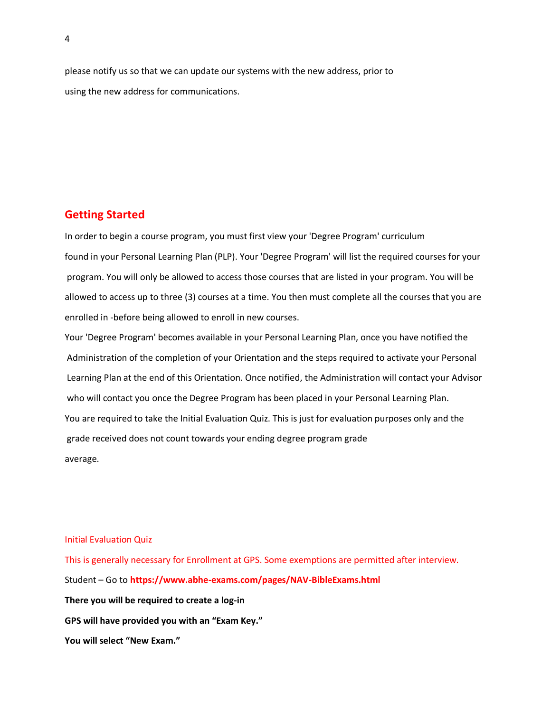please notify us so that we can update our systems with the new address, prior to using the new address for communications.

## **Getting Started**

In order to begin a course program, you must first view your 'Degree Program' curriculum found in your Personal Learning Plan (PLP). Your 'Degree Program' will list the required courses for your program. You will only be allowed to access those courses that are listed in your program. You will be allowed to access up to three (3) courses at a time. You then must complete all the courses that you are enrolled in -before being allowed to enroll in new courses.

Your 'Degree Program' becomes available in your Personal Learning Plan, once you have notified the Administration of the completion of your Orientation and the steps required to activate your Personal Learning Plan at the end of this Orientation. Once notified, the Administration will contact your Advisor who will contact you once the Degree Program has been placed in your Personal Learning Plan. You are required to take the Initial Evaluation Quiz. This is just for evaluation purposes only and the grade received does not count towards your ending degree program grade average.

Initial Evaluation Quiz

This is generally necessary for Enrollment at GPS. Some exemptions are permitted after interview. Student – Go to **https://www.abhe-exams.com/pages/NAV-BibleExams.html There you will be required to create a log-in GPS will have provided you with an "Exam Key." You will select "New Exam."**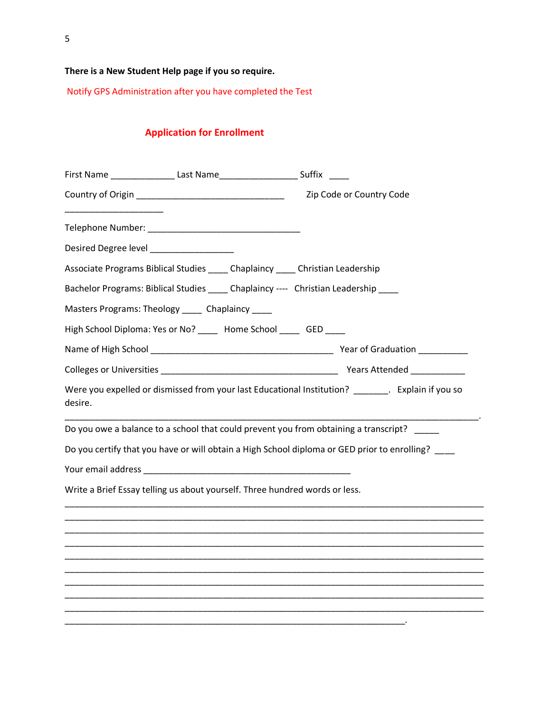**There is a New Student Help page if you so require.**

Notify GPS Administration after you have completed the Test

# **Application for Enrollment**

| First Name _____________________Last Name____________________________Suffix _____ |                                                                                                    |
|-----------------------------------------------------------------------------------|----------------------------------------------------------------------------------------------------|
|                                                                                   | Zip Code or Country Code                                                                           |
|                                                                                   |                                                                                                    |
|                                                                                   |                                                                                                    |
|                                                                                   | Associate Programs Biblical Studies _____ Chaplaincy _____ Christian Leadership                    |
|                                                                                   | Bachelor Programs: Biblical Studies _____ Chaplaincy ---- Christian Leadership ____                |
| Masters Programs: Theology _____ Chaplaincy ____                                  |                                                                                                    |
| High School Diploma: Yes or No? _____ Home School ____ GED ____                   |                                                                                                    |
|                                                                                   |                                                                                                    |
|                                                                                   |                                                                                                    |
| desire.                                                                           | Were you expelled or dismissed from your last Educational Institution? ________. Explain if you so |
|                                                                                   | Do you owe a balance to a school that could prevent you from obtaining a transcript?               |
|                                                                                   | Do you certify that you have or will obtain a High School diploma or GED prior to enrolling?       |
|                                                                                   |                                                                                                    |
|                                                                                   | Write a Brief Essay telling us about yourself. Three hundred words or less.                        |
|                                                                                   |                                                                                                    |
|                                                                                   |                                                                                                    |
|                                                                                   |                                                                                                    |
|                                                                                   |                                                                                                    |
|                                                                                   |                                                                                                    |
|                                                                                   |                                                                                                    |
|                                                                                   |                                                                                                    |
|                                                                                   |                                                                                                    |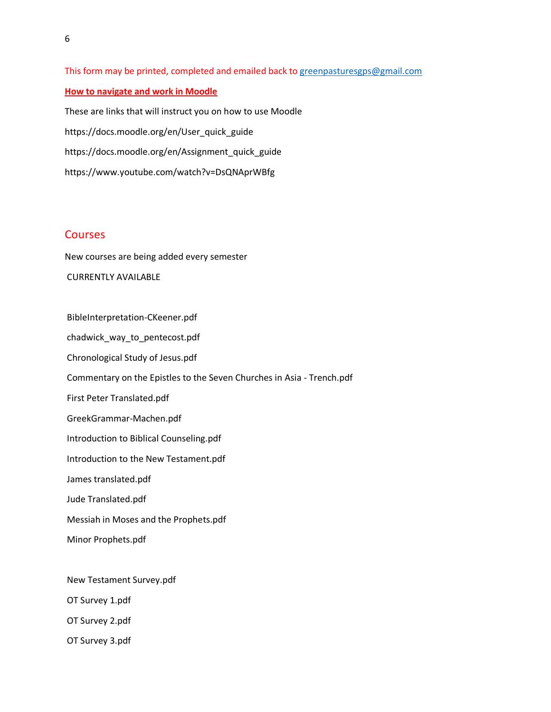This form may be printed, completed and emailed back to [greenpasturesgps@gmail.com](mailto:greenpasturesgps@gmail.com) **How to navigate and work in Moodle** These are links that will instruct you on how to use Moodle https://docs.moodle.org/en/User\_quick\_guide https://docs.moodle.org/en/Assignment\_quick\_guide https://www.youtube.com/watch?v=DsQNAprWBfg

## **Courses**

New courses are being added every semester CURRENTLY AVAILABLE

BibleInterpretation-CKeener.pdf chadwick\_way\_to\_pentecost.pdf Chronological Study of Jesus.pdf Commentary on the Epistles to the Seven Churches in Asia - Trench.pdf First Peter Translated.pdf GreekGrammar-Machen.pdf Introduction to Biblical Counseling.pdf Introduction to the New Testament.pdf James translated.pdf Jude Translated.pdf Messiah in Moses and the Prophets.pdf Minor Prophets.pdf

New Testament Survey.pdf

OT Survey 1.pdf

OT Survey 2.pdf

OT Survey 3.pdf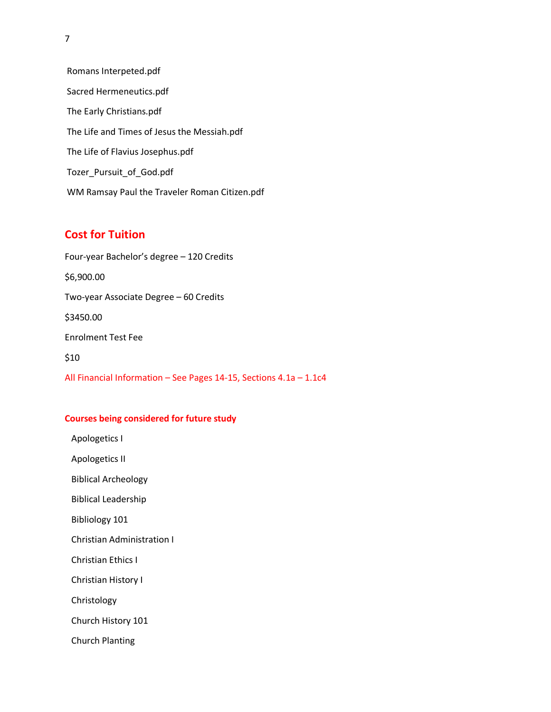Romans Interpeted.pdf Sacred Hermeneutics.pdf The Early Christians.pdf The Life and Times of Jesus the Messiah.pdf The Life of Flavius Josephus.pdf Tozer\_Pursuit\_of\_God.pdf WM Ramsay Paul the Traveler Roman Citizen.pdf

# **Cost for Tuition**

Four-year Bachelor's degree – 120 Credits \$6,900.00 Two-year Associate Degree – 60 Credits \$3450.00 Enrolment Test Fee \$10 All Financial Information – See Pages 14-15, Sections 4.1a – 1.1c4

## **Courses being considered for future study**

Apologetics I

Apologetics II

- Biblical Archeology
- Biblical Leadership
- Bibliology 101
- Christian Administration I
- Christian Ethics I
- Christian History I
- Christology
- Church History 101
- Church Planting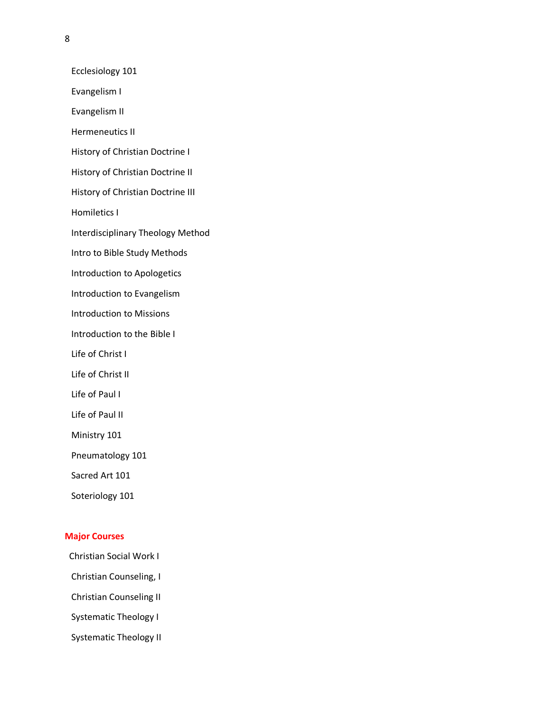Ecclesiology 101

Evangelism I

Evangelism II

Hermeneutics II

History of Christian Doctrine I

History of Christian Doctrine II

History of Christian Doctrine III

Homiletics I

Interdisciplinary Theology Method

Intro to Bible Study Methods

Introduction to Apologetics

Introduction to Evangelism

Introduction to Missions

Introduction to the Bible I

Life of Christ I

Life of Christ II

Life of Paul I

Life of Paul II

Ministry 101

Pneumatology 101

Sacred Art 101

Soteriology 101

#### **Major Courses**

- Christian Social Work I
- Christian Counseling, I

Christian Counseling II

Systematic Theology I

Systematic Theology II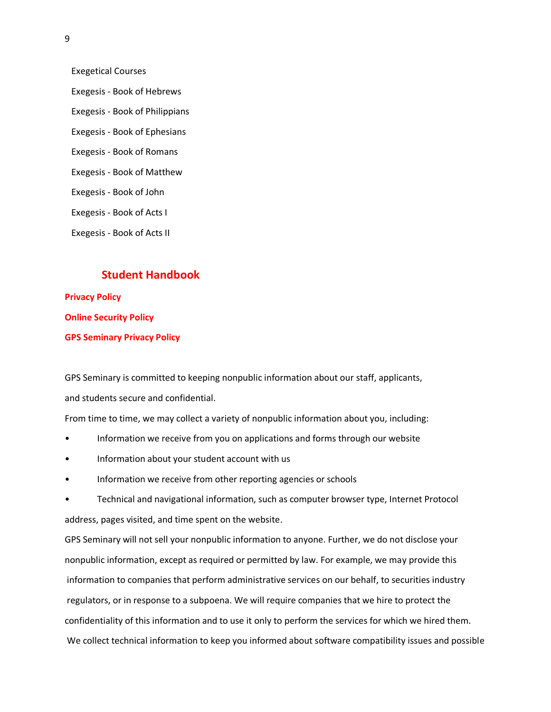Exegetical Courses

 Exegesis - Book of Hebrews Exegesis - Book of Philippians Exegesis - Book of Ephesians Exegesis - Book of Romans Exegesis - Book of Matthew Exegesis - Book of John Exegesis - Book of Acts I Exegesis - Book of Acts II

# **Student Handbook**

**Privacy Policy Online Security Policy GPS Seminary Privacy Policy** 

GPS Seminary is committed to keeping nonpublic information about our staff, applicants, and students secure and confidential.

From time to time, we may collect a variety of nonpublic information about you, including:

- Information we receive from you on applications and forms through our website
- Information about your student account with us
- Information we receive from other reporting agencies or schools

• Technical and navigational information, such as computer browser type, Internet Protocol address, pages visited, and time spent on the website.

GPS Seminary will not sell your nonpublic information to anyone. Further, we do not disclose your nonpublic information, except as required or permitted by law. For example, we may provide this information to companies that perform administrative services on our behalf, to securities industry regulators, or in response to a subpoena. We will require companies that we hire to protect the confidentiality of this information and to use it only to perform the services for which we hired them. We collect technical information to keep you informed about software compatibility issues and possible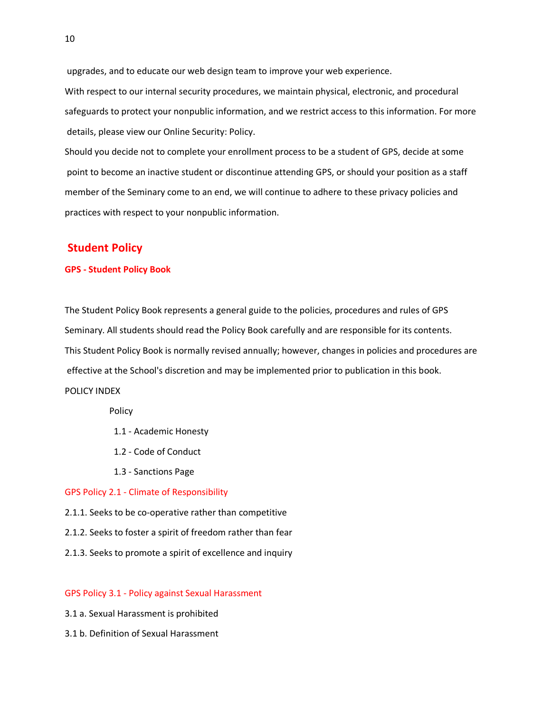upgrades, and to educate our web design team to improve your web experience. With respect to our internal security procedures, we maintain physical, electronic, and procedural safeguards to protect your nonpublic information, and we restrict access to this information. For more details, please view our Online Security: Policy.

Should you decide not to complete your enrollment process to be a student of GPS, decide at some point to become an inactive student or discontinue attending GPS, or should your position as a staff member of the Seminary come to an end, we will continue to adhere to these privacy policies and practices with respect to your nonpublic information.

## **Student Policy**

#### **GPS - Student Policy Book**

The Student Policy Book represents a general guide to the policies, procedures and rules of GPS Seminary. All students should read the Policy Book carefully and are responsible for its contents. This Student Policy Book is normally revised annually; however, changes in policies and procedures are effective at the School's discretion and may be implemented prior to publication in this book. POLICY INDEX

Policy

- 1.1 Academic Honesty
- 1.2 Code of Conduct
- 1.3 Sanctions Page

#### GPS Policy 2.1 - Climate of Responsibility

- 2.1.1. Seeks to be co-operative rather than competitive
- 2.1.2. Seeks to foster a spirit of freedom rather than fear
- 2.1.3. Seeks to promote a spirit of excellence and inquiry

#### GPS Policy 3.1 - Policy against Sexual Harassment

- 3.1 a. Sexual Harassment is prohibited
- 3.1 b. Definition of Sexual Harassment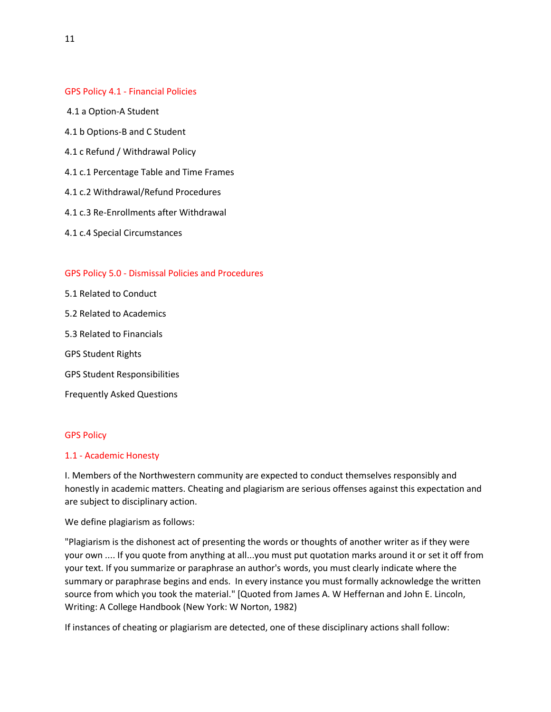#### GPS Policy 4.1 - Financial Policies

- 4.1 a Option-A Student
- 4.1 b Options-B and C Student
- 4.1 c Refund / Withdrawal Policy
- 4.1 c.1 Percentage Table and Time Frames
- 4.1 c.2 Withdrawal/Refund Procedures
- 4.1 c.3 Re-Enrollments after Withdrawal
- 4.1 c.4 Special Circumstances

#### GPS Policy 5.0 - Dismissal Policies and Procedures

5.1 Related to Conduct 5.2 Related to Academics 5.3 Related to Financials GPS Student Rights GPS Student Responsibilities Frequently Asked Questions

#### GPS Policy

#### 1.1 - Academic Honesty

I. Members of the Northwestern community are expected to conduct themselves responsibly and honestly in academic matters. Cheating and plagiarism are serious offenses against this expectation and are subject to disciplinary action.

We define plagiarism as follows:

"Plagiarism is the dishonest act of presenting the words or thoughts of another writer as if they were your own .... If you quote from anything at all...you must put quotation marks around it or set it off from your text. If you summarize or paraphrase an author's words, you must clearly indicate where the summary or paraphrase begins and ends. In every instance you must formally acknowledge the written source from which you took the material." [Quoted from James A. W Heffernan and John E. Lincoln, Writing: A College Handbook (New York: W Norton, 1982)

If instances of cheating or plagiarism are detected, one of these disciplinary actions shall follow: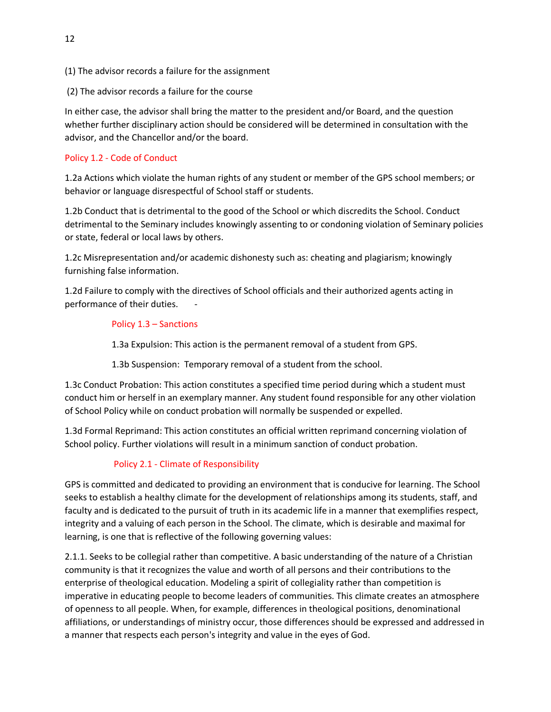- (1) The advisor records a failure for the assignment
- (2) The advisor records a failure for the course

In either case, the advisor shall bring the matter to the president and/or Board, and the question whether further disciplinary action should be considered will be determined in consultation with the advisor, and the Chancellor and/or the board.

## Policy 1.2 - Code of Conduct

1.2a Actions which violate the human rights of any student or member of the GPS school members; or behavior or language disrespectful of School staff or students.

1.2b Conduct that is detrimental to the good of the School or which discredits the School. Conduct detrimental to the Seminary includes knowingly assenting to or condoning violation of Seminary policies or state, federal or local laws by others.

1.2c Misrepresentation and/or academic dishonesty such as: cheating and plagiarism; knowingly furnishing false information.

1.2d Failure to comply with the directives of School officials and their authorized agents acting in performance of their duties.

#### Policy 1.3 – Sanctions

1.3a Expulsion: This action is the permanent removal of a student from GPS.

1.3b Suspension: Temporary removal of a student from the school.

1.3c Conduct Probation: This action constitutes a specified time period during which a student must conduct him or herself in an exemplary manner. Any student found responsible for any other violation of School Policy while on conduct probation will normally be suspended or expelled.

1.3d Formal Reprimand: This action constitutes an official written reprimand concerning violation of School policy. Further violations will result in a minimum sanction of conduct probation.

## Policy 2.1 - Climate of Responsibility

GPS is committed and dedicated to providing an environment that is conducive for learning. The School seeks to establish a healthy climate for the development of relationships among its students, staff, and faculty and is dedicated to the pursuit of truth in its academic life in a manner that exemplifies respect, integrity and a valuing of each person in the School. The climate, which is desirable and maximal for learning, is one that is reflective of the following governing values:

2.1.1. Seeks to be collegial rather than competitive. A basic understanding of the nature of a Christian community is that it recognizes the value and worth of all persons and their contributions to the enterprise of theological education. Modeling a spirit of collegiality rather than competition is imperative in educating people to become leaders of communities. This climate creates an atmosphere of openness to all people. When, for example, differences in theological positions, denominational affiliations, or understandings of ministry occur, those differences should be expressed and addressed in a manner that respects each person's integrity and value in the eyes of God.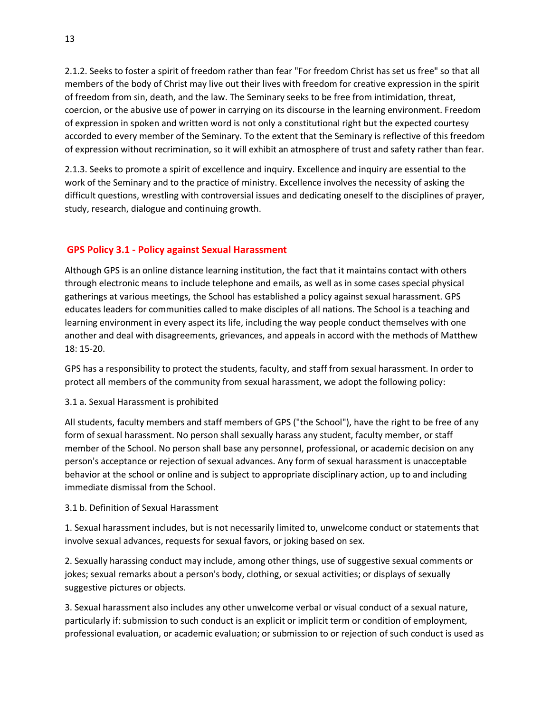2.1.2. Seeks to foster a spirit of freedom rather than fear "For freedom Christ has set us free" so that all members of the body of Christ may live out their lives with freedom for creative expression in the spirit of freedom from sin, death, and the law. The Seminary seeks to be free from intimidation, threat, coercion, or the abusive use of power in carrying on its discourse in the learning environment. Freedom of expression in spoken and written word is not only a constitutional right but the expected courtesy accorded to every member of the Seminary. To the extent that the Seminary is reflective of this freedom of expression without recrimination, so it will exhibit an atmosphere of trust and safety rather than fear.

2.1.3. Seeks to promote a spirit of excellence and inquiry. Excellence and inquiry are essential to the work of the Seminary and to the practice of ministry. Excellence involves the necessity of asking the difficult questions, wrestling with controversial issues and dedicating oneself to the disciplines of prayer, study, research, dialogue and continuing growth.

## **GPS Policy 3.1 - Policy against Sexual Harassment**

Although GPS is an online distance learning institution, the fact that it maintains contact with others through electronic means to include telephone and emails, as well as in some cases special physical gatherings at various meetings, the School has established a policy against sexual harassment. GPS educates leaders for communities called to make disciples of all nations. The School is a teaching and learning environment in every aspect its life, including the way people conduct themselves with one another and deal with disagreements, grievances, and appeals in accord with the methods of Matthew 18: 15-20.

GPS has a responsibility to protect the students, faculty, and staff from sexual harassment. In order to protect all members of the community from sexual harassment, we adopt the following policy:

## 3.1 a. Sexual Harassment is prohibited

All students, faculty members and staff members of GPS ("the School"), have the right to be free of any form of sexual harassment. No person shall sexually harass any student, faculty member, or staff member of the School. No person shall base any personnel, professional, or academic decision on any person's acceptance or rejection of sexual advances. Any form of sexual harassment is unacceptable behavior at the school or online and is subject to appropriate disciplinary action, up to and including immediate dismissal from the School.

## 3.1 b. Definition of Sexual Harassment

1. Sexual harassment includes, but is not necessarily limited to, unwelcome conduct or statements that involve sexual advances, requests for sexual favors, or joking based on sex.

2. Sexually harassing conduct may include, among other things, use of suggestive sexual comments or jokes; sexual remarks about a person's body, clothing, or sexual activities; or displays of sexually suggestive pictures or objects.

3. Sexual harassment also includes any other unwelcome verbal or visual conduct of a sexual nature, particularly if: submission to such conduct is an explicit or implicit term or condition of employment, professional evaluation, or academic evaluation; or submission to or rejection of such conduct is used as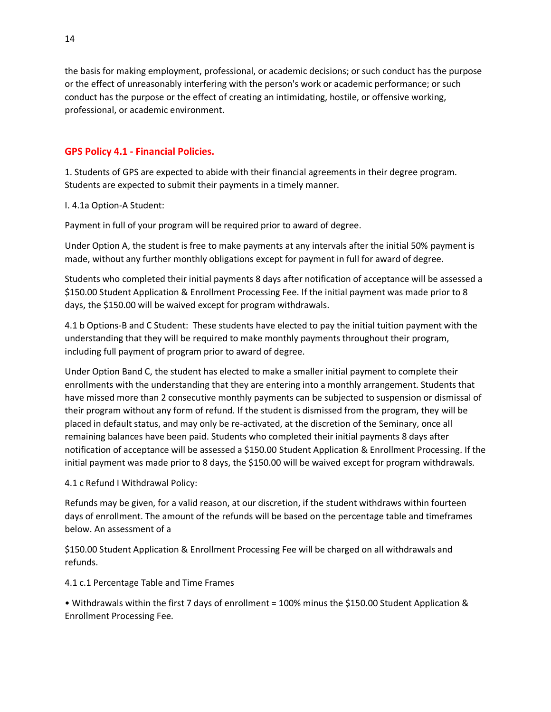the basis for making employment, professional, or academic decisions; or such conduct has the purpose or the effect of unreasonably interfering with the person's work or academic performance; or such conduct has the purpose or the effect of creating an intimidating, hostile, or offensive working, professional, or academic environment.

## **GPS Policy 4.1 - Financial Policies.**

1. Students of GPS are expected to abide with their financial agreements in their degree program. Students are expected to submit their payments in a timely manner.

I. 4.1a Option-A Student:

Payment in full of your program will be required prior to award of degree.

Under Option A, the student is free to make payments at any intervals after the initial 50% payment is made, without any further monthly obligations except for payment in full for award of degree.

Students who completed their initial payments 8 days after notification of acceptance will be assessed a \$150.00 Student Application & Enrollment Processing Fee. If the initial payment was made prior to 8 days, the \$150.00 will be waived except for program withdrawals.

4.1 b Options-B and C Student: These students have elected to pay the initial tuition payment with the understanding that they will be required to make monthly payments throughout their program, including full payment of program prior to award of degree.

Under Option Band C, the student has elected to make a smaller initial payment to complete their enrollments with the understanding that they are entering into a monthly arrangement. Students that have missed more than 2 consecutive monthly payments can be subjected to suspension or dismissal of their program without any form of refund. If the student is dismissed from the program, they will be placed in default status, and may only be re-activated, at the discretion of the Seminary, once all remaining balances have been paid. Students who completed their initial payments 8 days after notification of acceptance will be assessed a \$150.00 Student Application & Enrollment Processing. If the initial payment was made prior to 8 days, the \$150.00 will be waived except for program withdrawals.

4.1 c Refund I Withdrawal Policy:

Refunds may be given, for a valid reason, at our discretion, if the student withdraws within fourteen days of enrollment. The amount of the refunds will be based on the percentage table and timeframes below. An assessment of a

\$150.00 Student Application & Enrollment Processing Fee will be charged on all withdrawals and refunds.

4.1 c.1 Percentage Table and Time Frames

• Withdrawals within the first 7 days of enrollment = 100% minus the \$150.00 Student Application & Enrollment Processing Fee.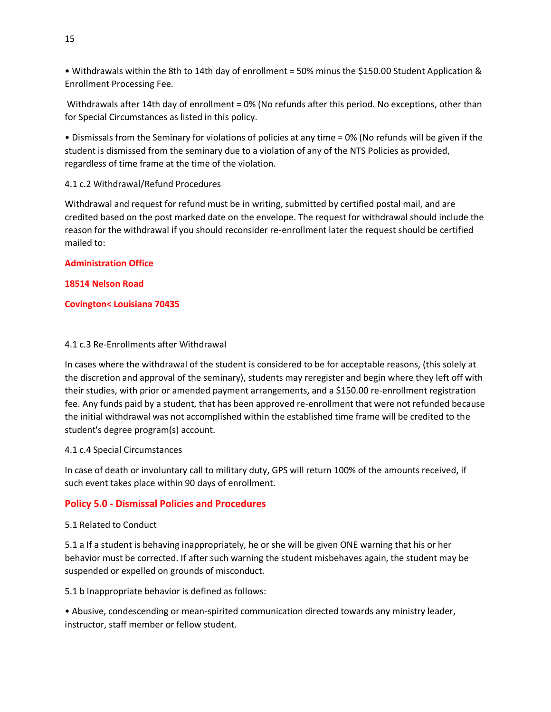• Withdrawals within the 8th to 14th day of enrollment = 50% minus the \$150.00 Student Application & Enrollment Processing Fee.

Withdrawals after 14th day of enrollment = 0% (No refunds after this period. No exceptions, other than for Special Circumstances as listed in this policy.

• Dismissals from the Seminary for violations of policies at any time = 0% (No refunds will be given if the student is dismissed from the seminary due to a violation of any of the NTS Policies as provided, regardless of time frame at the time of the violation.

## 4.1 c.2 Withdrawal/Refund Procedures

Withdrawal and request for refund must be in writing, submitted by certified postal mail, and are credited based on the post marked date on the envelope. The request for withdrawal should include the reason for the withdrawal if you should reconsider re-enrollment later the request should be certified mailed to:

## **Administration Office**

## **18514 Nelson Road**

## **Covington< Louisiana 70435**

## 4.1 c.3 Re-Enrollments after Withdrawal

In cases where the withdrawal of the student is considered to be for acceptable reasons, (this solely at the discretion and approval of the seminary), students may reregister and begin where they left off with their studies, with prior or amended payment arrangements, and a \$150.00 re-enrollment registration fee. Any funds paid by a student, that has been approved re-enrollment that were not refunded because the initial withdrawal was not accomplished within the established time frame will be credited to the student's degree program(s) account.

## 4.1 c.4 Special Circumstances

In case of death or involuntary call to military duty, GPS will return 100% of the amounts received, if such event takes place within 90 days of enrollment.

## **Policy 5.0 - Dismissal Policies and Procedures**

## 5.1 Related to Conduct

5.1 a If a student is behaving inappropriately, he or she will be given ONE warning that his or her behavior must be corrected. If after such warning the student misbehaves again, the student may be suspended or expelled on grounds of misconduct.

5.1 b Inappropriate behavior is defined as follows:

• Abusive, condescending or mean-spirited communication directed towards any ministry leader, instructor, staff member or fellow student.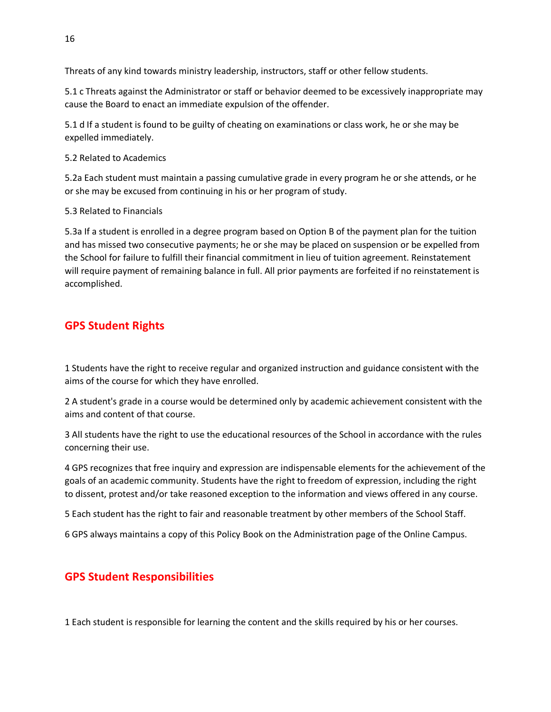Threats of any kind towards ministry leadership, instructors, staff or other fellow students.

5.1 c Threats against the Administrator or staff or behavior deemed to be excessively inappropriate may cause the Board to enact an immediate expulsion of the offender.

5.1 d If a student is found to be guilty of cheating on examinations or class work, he or she may be expelled immediately.

5.2 Related to Academics

5.2a Each student must maintain a passing cumulative grade in every program he or she attends, or he or she may be excused from continuing in his or her program of study.

5.3 Related to Financials

5.3a If a student is enrolled in a degree program based on Option B of the payment plan for the tuition and has missed two consecutive payments; he or she may be placed on suspension or be expelled from the School for failure to fulfill their financial commitment in lieu of tuition agreement. Reinstatement will require payment of remaining balance in full. All prior payments are forfeited if no reinstatement is accomplished.

# **GPS Student Rights**

1 Students have the right to receive regular and organized instruction and guidance consistent with the aims of the course for which they have enrolled.

2 A student's grade in a course would be determined only by academic achievement consistent with the aims and content of that course.

3 All students have the right to use the educational resources of the School in accordance with the rules concerning their use.

4 GPS recognizes that free inquiry and expression are indispensable elements for the achievement of the goals of an academic community. Students have the right to freedom of expression, including the right to dissent, protest and/or take reasoned exception to the information and views offered in any course.

5 Each student has the right to fair and reasonable treatment by other members of the School Staff.

6 GPS always maintains a copy of this Policy Book on the Administration page of the Online Campus.

# **GPS Student Responsibilities**

1 Each student is responsible for learning the content and the skills required by his or her courses.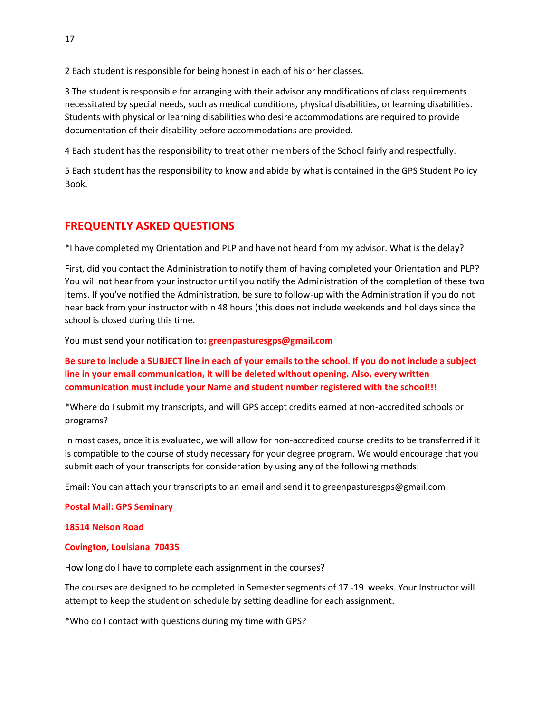2 Each student is responsible for being honest in each of his or her classes.

3 The student is responsible for arranging with their advisor any modifications of class requirements necessitated by special needs, such as medical conditions, physical disabilities, or learning disabilities. Students with physical or learning disabilities who desire accommodations are required to provide documentation of their disability before accommodations are provided.

4 Each student has the responsibility to treat other members of the School fairly and respectfully.

5 Each student has the responsibility to know and abide by what is contained in the GPS Student Policy Book.

# **FREQUENTLY ASKED QUESTIONS**

\*I have completed my Orientation and PLP and have not heard from my advisor. What is the delay?

First, did you contact the Administration to notify them of having completed your Orientation and PLP? You will not hear from your instructor until you notify the Administration of the completion of these two items. If you've notified the Administration, be sure to follow-up with the Administration if you do not hear back from your instructor within 48 hours (this does not include weekends and holidays since the school is closed during this time.

You must send your notification to**: greenpasturesgps@gmail.com** 

**Be sure to include a SUBJECT line in each of your emails to the school. If you do not include a subject line in your email communication, it will be deleted without opening. Also, every written communication must include your Name and student number registered with the school!!!**

\*Where do I submit my transcripts, and will GPS accept credits earned at non-accredited schools or programs?

In most cases, once it is evaluated, we will allow for non-accredited course credits to be transferred if it is compatible to the course of study necessary for your degree program. We would encourage that you submit each of your transcripts for consideration by using any of the following methods:

Email: You can attach your transcripts to an email and send it to greenpasturesgps@gmail.com

**Postal Mail: GPS Seminary**

**18514 Nelson Road**

#### **Covington, Louisiana 70435**

How long do I have to complete each assignment in the courses?

The courses are designed to be completed in Semester segments of 17 -19 weeks. Your Instructor will attempt to keep the student on schedule by setting deadline for each assignment.

\*Who do I contact with questions during my time with GPS?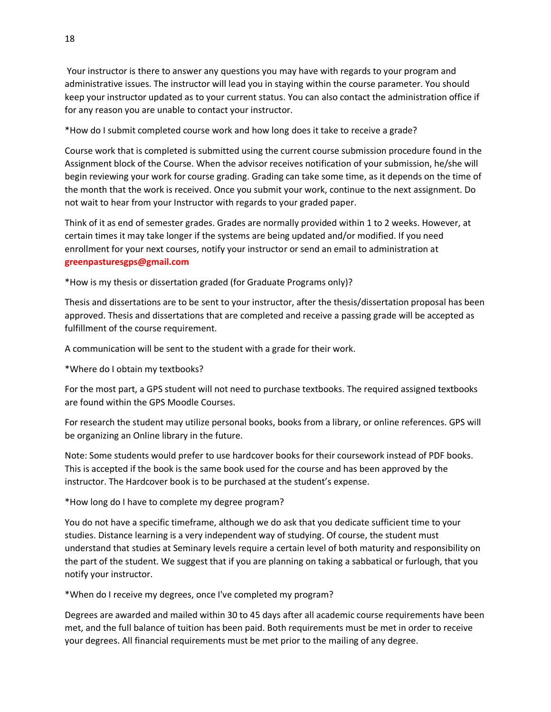Your instructor is there to answer any questions you may have with regards to your program and administrative issues. The instructor will lead you in staying within the course parameter. You should keep your instructor updated as to your current status. You can also contact the administration office if for any reason you are unable to contact your instructor.

\*How do I submit completed course work and how long does it take to receive a grade?

Course work that is completed is submitted using the current course submission procedure found in the Assignment block of the Course. When the advisor receives notification of your submission, he/she will begin reviewing your work for course grading. Grading can take some time, as it depends on the time of the month that the work is received. Once you submit your work, continue to the next assignment. Do not wait to hear from your Instructor with regards to your graded paper.

Think of it as end of semester grades. Grades are normally provided within 1 to 2 weeks. However, at certain times it may take longer if the systems are being updated and/or modified. If you need enrollment for your next courses, notify your instructor or send an email to administration at **greenpasturesgps@gmail.com**

\*How is my thesis or dissertation graded (for Graduate Programs only)?

Thesis and dissertations are to be sent to your instructor, after the thesis/dissertation proposal has been approved. Thesis and dissertations that are completed and receive a passing grade will be accepted as fulfillment of the course requirement.

A communication will be sent to the student with a grade for their work.

\*Where do I obtain my textbooks?

For the most part, a GPS student will not need to purchase textbooks. The required assigned textbooks are found within the GPS Moodle Courses.

For research the student may utilize personal books, books from a library, or online references. GPS will be organizing an Online library in the future.

Note: Some students would prefer to use hardcover books for their coursework instead of PDF books. This is accepted if the book is the same book used for the course and has been approved by the instructor. The Hardcover book is to be purchased at the student's expense.

\*How long do I have to complete my degree program?

You do not have a specific timeframe, although we do ask that you dedicate sufficient time to your studies. Distance learning is a very independent way of studying. Of course, the student must understand that studies at Seminary levels require a certain level of both maturity and responsibility on the part of the student. We suggest that if you are planning on taking a sabbatical or furlough, that you notify your instructor.

\*When do I receive my degrees, once I've completed my program?

Degrees are awarded and mailed within 30 to 45 days after all academic course requirements have been met, and the full balance of tuition has been paid. Both requirements must be met in order to receive your degrees. All financial requirements must be met prior to the mailing of any degree.